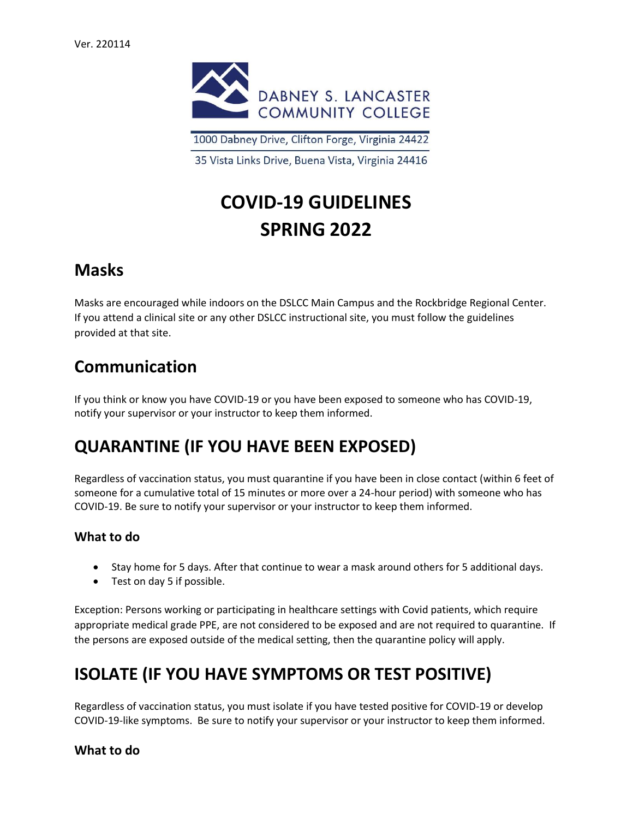

1000 Dabney Drive, Clifton Forge, Virginia 24422

35 Vista Links Drive, Buena Vista, Virginia 24416

# **COVID-19 GUIDELINES SPRING 2022**

### **Masks**

Masks are encouraged while indoors on the DSLCC Main Campus and the Rockbridge Regional Center. If you attend a clinical site or any other DSLCC instructional site, you must follow the guidelines provided at that site.

### **Communication**

If you think or know you have COVID-19 or you have been exposed to someone who has COVID-19, notify your supervisor or your instructor to keep them informed.

### **QUARANTINE (IF YOU HAVE BEEN EXPOSED)**

Regardless of vaccination status, you must quarantine if you have been in close contact (within 6 feet of someone for a cumulative total of 15 minutes or more over a 24-hour period) with someone who has COVID-19. Be sure to notify your supervisor or your instructor to keep them informed.

#### **What to do**

- Stay home for 5 days. After that continue to wear a mask around others for 5 additional days.
- Test on day 5 if possible.

Exception: Persons working or participating in healthcare settings with Covid patients, which require appropriate medical grade PPE, are not considered to be exposed and are not required to quarantine. If the persons are exposed outside of the medical setting, then the quarantine policy will apply.

### **ISOLATE (IF YOU HAVE SYMPTOMS OR TEST POSITIVE)**

Regardless of vaccination status, you must isolate if you have tested positive for COVID-19 or develop COVID-19-like symptoms. Be sure to notify your supervisor or your instructor to keep them informed.

#### **What to do**